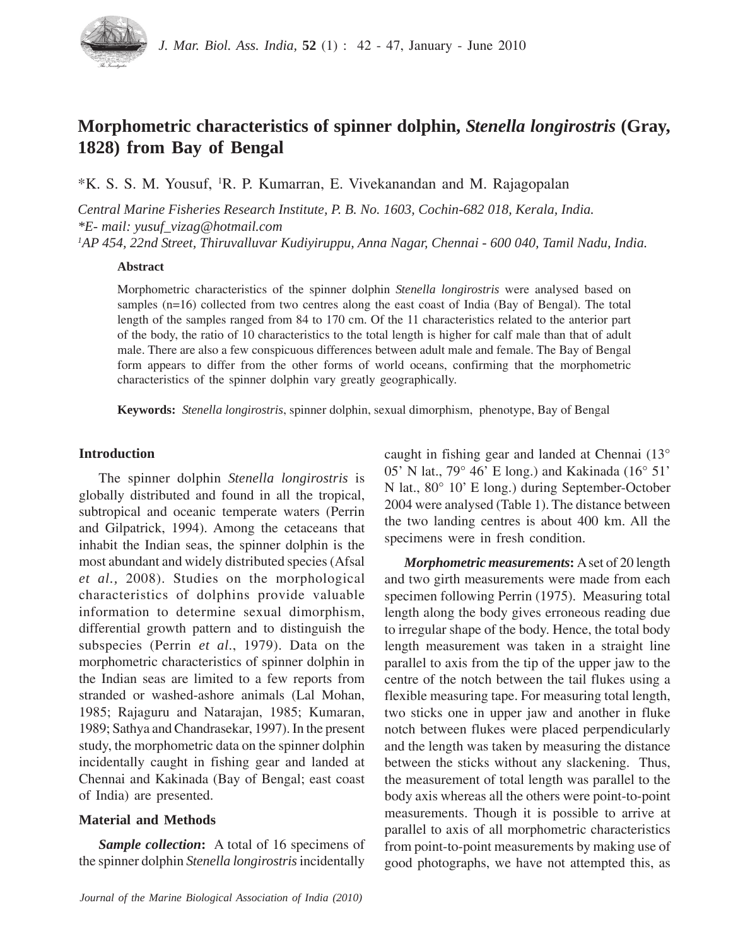

# **Morphometric characteristics of spinner dolphin,** *Stenella longirostris* **(Gray, 1828) from Bay of Bengal**

\*K. S. S. M. Yousuf, 1 R. P. Kumarran, E. Vivekanandan and M. Rajagopalan

*Central Marine Fisheries Research Institute, P. B. No. 1603, Cochin-682 018, Kerala, India. \*E- mail: yusuf\_vizag@hotmail.com*

*1 AP 454, 22nd Street, Thiruvalluvar Kudiyiruppu, Anna Nagar, Chennai - 600 040, Tamil Nadu, India.*

### **Abstract**

Morphometric characteristics of the spinner dolphin *Stenella longirostris* were analysed based on samples (n=16) collected from two centres along the east coast of India (Bay of Bengal). The total length of the samples ranged from 84 to 170 cm. Of the 11 characteristics related to the anterior part of the body, the ratio of 10 characteristics to the total length is higher for calf male than that of adult male. There are also a few conspicuous differences between adult male and female. The Bay of Bengal form appears to differ from the other forms of world oceans, confirming that the morphometric characteristics of the spinner dolphin vary greatly geographically.

**Keywords:** *Stenella longirostris*, spinner dolphin, sexual dimorphism, phenotype, Bay of Bengal

## **Introduction**

The spinner dolphin *Stenella longirostris* is globally distributed and found in all the tropical, subtropical and oceanic temperate waters (Perrin and Gilpatrick, 1994). Among the cetaceans that inhabit the Indian seas, the spinner dolphin is the most abundant and widely distributed species (Afsal *et al.,* 2008). Studies on the morphological characteristics of dolphins provide valuable information to determine sexual dimorphism, differential growth pattern and to distinguish the subspecies (Perrin *et al*., 1979). Data on the morphometric characteristics of spinner dolphin in the Indian seas are limited to a few reports from stranded or washed-ashore animals (Lal Mohan, 1985; Rajaguru and Natarajan, 1985; Kumaran, 1989; Sathya and Chandrasekar, 1997). In the present study, the morphometric data on the spinner dolphin incidentally caught in fishing gear and landed at Chennai and Kakinada (Bay of Bengal; east coast of India) are presented.

## **Material and Methods**

*Sample collection***:** A total of 16 specimens of the spinner dolphin *Stenella longirostris* incidentally caught in fishing gear and landed at Chennai (13° 05' N lat., 79° 46' E long.) and Kakinada (16° 51' N lat., 80° 10' E long.) during September-October 2004 were analysed (Table 1). The distance between the two landing centres is about 400 km. All the specimens were in fresh condition.

*Morphometric measurements***:** A set of 20 length and two girth measurements were made from each specimen following Perrin (1975). Measuring total length along the body gives erroneous reading due to irregular shape of the body. Hence, the total body length measurement was taken in a straight line parallel to axis from the tip of the upper jaw to the centre of the notch between the tail flukes using a flexible measuring tape. For measuring total length, two sticks one in upper jaw and another in fluke notch between flukes were placed perpendicularly and the length was taken by measuring the distance between the sticks without any slackening. Thus, the measurement of total length was parallel to the body axis whereas all the others were point-to-point measurements. Though it is possible to arrive at parallel to axis of all morphometric characteristics from point-to-point measurements by making use of good photographs, we have not attempted this, as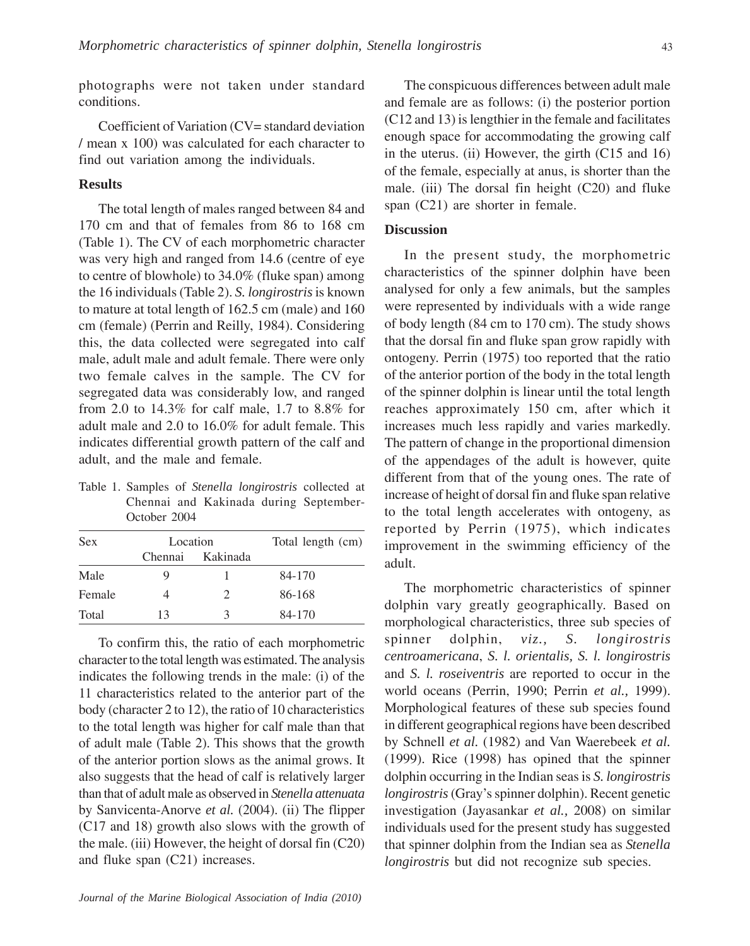photographs were not taken under standard conditions.

Coefficient of Variation (CV= standard deviation / mean x 100) was calculated for each character to find out variation among the individuals.

# **Results**

The total length of males ranged between 84 and 170 cm and that of females from 86 to 168 cm (Table 1). The CV of each morphometric character was very high and ranged from 14.6 (centre of eye to centre of blowhole) to 34.0% (fluke span) among the 16 individuals (Table 2). *S. longirostris* is known to mature at total length of 162.5 cm (male) and 160 cm (female) (Perrin and Reilly, 1984). Considering this, the data collected were segregated into calf male, adult male and adult female. There were only two female calves in the sample. The CV for segregated data was considerably low, and ranged from 2.0 to 14.3% for calf male, 1.7 to 8.8% for adult male and 2.0 to 16.0% for adult female. This indicates differential growth pattern of the calf and adult, and the male and female.

Table 1. Samples of *Stenella longirostris* collected at Chennai and Kakinada during September-October 2004

| <b>Sex</b> | Location |          | Total length (cm) |
|------------|----------|----------|-------------------|
|            | Chennai  | Kakinada |                   |
| Male       | O)       |          | 84-170            |
| Female     |          | 2.       | 86-168            |
| Total      | 13       | 3        | 84-170            |

To confirm this, the ratio of each morphometric character to the total length was estimated. The analysis indicates the following trends in the male: (i) of the 11 characteristics related to the anterior part of the body (character 2 to 12), the ratio of 10 characteristics to the total length was higher for calf male than that of adult male (Table 2). This shows that the growth of the anterior portion slows as the animal grows. It also suggests that the head of calf is relatively larger than that of adult male as observed in *Stenella attenuata* by Sanvicenta-Anorve *et al.* (2004). (ii) The flipper (C17 and 18) growth also slows with the growth of the male. (iii) However, the height of dorsal fin (C20) and fluke span (C21) increases.

The conspicuous differences between adult male and female are as follows: (i) the posterior portion (C12 and 13) is lengthier in the female and facilitates enough space for accommodating the growing calf in the uterus. (ii) However, the girth (C15 and 16) of the female, especially at anus, is shorter than the male. (iii) The dorsal fin height (C20) and fluke span (C21) are shorter in female.

## **Discussion**

In the present study, the morphometric characteristics of the spinner dolphin have been analysed for only a few animals, but the samples were represented by individuals with a wide range of body length (84 cm to 170 cm). The study shows that the dorsal fin and fluke span grow rapidly with ontogeny. Perrin (1975) too reported that the ratio of the anterior portion of the body in the total length of the spinner dolphin is linear until the total length reaches approximately 150 cm, after which it increases much less rapidly and varies markedly. The pattern of change in the proportional dimension of the appendages of the adult is however, quite different from that of the young ones. The rate of increase of height of dorsal fin and fluke span relative to the total length accelerates with ontogeny, as reported by Perrin (1975), which indicates improvement in the swimming efficiency of the adult.

The morphometric characteristics of spinner dolphin vary greatly geographically. Based on morphological characteristics, three sub species of spinner dolphin, *viz., S. longirostris centroamericana*, *S. l. orientalis, S. l. longirostris* and *S. l. roseiventris* are reported to occur in the world oceans (Perrin, 1990; Perrin *et al.,* 1999). Morphological features of these sub species found in different geographical regions have been described by Schnell *et al.* (1982) and Van Waerebeek *et al.* (1999). Rice (1998) has opined that the spinner dolphin occurring in the Indian seas is *S. longirostris longirostris* (Gray's spinner dolphin). Recent genetic investigation (Jayasankar *et al.,* 2008) on similar individuals used for the present study has suggested that spinner dolphin from the Indian sea as *Stenella longirostris* but did not recognize sub species.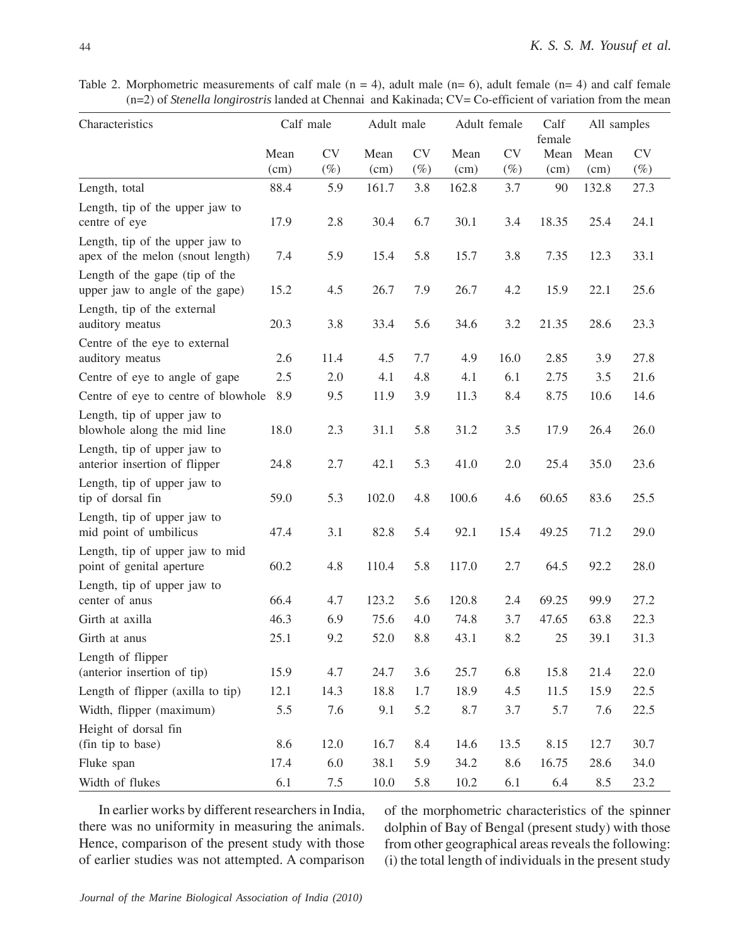Table 2. Morphometric measurements of calf male  $(n = 4)$ , adult male  $(n = 6)$ , adult female  $(n = 4)$  and calf female (n=2) of *Stenella longirostris* landed at Chennai and Kakinada; CV= Co-efficient of variation from the mean

| Characteristics                                                     |              | Calf male           | Adult male   |                     |              | Adult female        | Calf<br>female | All samples  |                     |
|---------------------------------------------------------------------|--------------|---------------------|--------------|---------------------|--------------|---------------------|----------------|--------------|---------------------|
|                                                                     | Mean<br>(cm) | <b>CV</b><br>$(\%)$ | Mean<br>(cm) | <b>CV</b><br>$(\%)$ | Mean<br>(cm) | <b>CV</b><br>$(\%)$ | Mean<br>(cm)   | Mean<br>(cm) | <b>CV</b><br>$(\%)$ |
| Length, total                                                       | 88.4         | 5.9                 | 161.7        | 3.8                 | 162.8        | 3.7                 | 90             | 132.8        | 27.3                |
| Length, tip of the upper jaw to<br>centre of eye                    | 17.9         | 2.8                 | 30.4         | 6.7                 | 30.1         | 3.4                 | 18.35          | 25.4         | 24.1                |
| Length, tip of the upper jaw to<br>apex of the melon (snout length) | 7.4          | 5.9                 | 15.4         | 5.8                 | 15.7         | 3.8                 | 7.35           | 12.3         | 33.1                |
| Length of the gape (tip of the<br>upper jaw to angle of the gape)   | 15.2         | 4.5                 | 26.7         | 7.9                 | 26.7         | 4.2                 | 15.9           | 22.1         | 25.6                |
| Length, tip of the external<br>auditory meatus                      | 20.3         | 3.8                 | 33.4         | 5.6                 | 34.6         | 3.2                 | 21.35          | 28.6         | 23.3                |
| Centre of the eye to external<br>auditory meatus                    | 2.6          | 11.4                | 4.5          | 7.7                 | 4.9          | 16.0                | 2.85           | 3.9          | 27.8                |
| Centre of eye to angle of gape                                      | 2.5          | 2.0                 | 4.1          | 4.8                 | 4.1          | 6.1                 | 2.75           | 3.5          | 21.6                |
| Centre of eye to centre of blowhole                                 | 8.9          | 9.5                 | 11.9         | 3.9                 | 11.3         | 8.4                 | 8.75           | 10.6         | 14.6                |
| Length, tip of upper jaw to<br>blowhole along the mid line          | 18.0         | 2.3                 | 31.1         | 5.8                 | 31.2         | 3.5                 | 17.9           | 26.4         | 26.0                |
| Length, tip of upper jaw to<br>anterior insertion of flipper        | 24.8         | 2.7                 | 42.1         | 5.3                 | 41.0         | $2.0\,$             | 25.4           | 35.0         | 23.6                |
| Length, tip of upper jaw to<br>tip of dorsal fin                    | 59.0         | 5.3                 | 102.0        | 4.8                 | 100.6        | 4.6                 | 60.65          | 83.6         | 25.5                |
| Length, tip of upper jaw to<br>mid point of umbilicus               | 47.4         | 3.1                 | 82.8         | 5.4                 | 92.1         | 15.4                | 49.25          | 71.2         | 29.0                |
| Length, tip of upper jaw to mid<br>point of genital aperture        | 60.2         | 4.8                 | 110.4        | 5.8                 | 117.0        | 2.7                 | 64.5           | 92.2         | 28.0                |
| Length, tip of upper jaw to<br>center of anus                       | 66.4         | 4.7                 | 123.2        | 5.6                 | 120.8        | 2.4                 | 69.25          | 99.9         | 27.2                |
| Girth at axilla                                                     | 46.3         | 6.9                 | 75.6         | 4.0                 | 74.8         | 3.7                 | 47.65          | 63.8         | 22.3                |
| Girth at anus                                                       | 25.1         | 9.2                 | 52.0         | 8.8                 | 43.1         | 8.2                 | 25             | 39.1         | 31.3                |
| Length of flipper                                                   |              |                     |              |                     |              |                     |                |              |                     |
| (anterior insertion of tip)                                         | 15.9         | 4.7                 | 24.7         | 3.6                 | 25.7         | 6.8                 | 15.8           | 21.4         | 22.0                |
| Length of flipper (axilla to tip)                                   | 12.1         | 14.3                | 18.8         | 1.7                 | 18.9         | 4.5                 | 11.5           | 15.9         | 22.5                |
| Width, flipper (maximum)                                            | 5.5          | 7.6                 | 9.1          | 5.2                 | 8.7          | 3.7                 | 5.7            | 7.6          | 22.5                |
| Height of dorsal fin                                                |              |                     |              |                     |              |                     |                |              |                     |
| (fin tip to base)                                                   | 8.6          | 12.0                | 16.7         | 8.4                 | 14.6         | 13.5                | 8.15           | 12.7         | 30.7                |
| Fluke span                                                          | 17.4         | 6.0                 | 38.1         | 5.9                 | 34.2         | 8.6                 | 16.75          | 28.6         | 34.0                |
| Width of flukes                                                     | 6.1          | 7.5                 | 10.0         | 5.8                 | 10.2         | 6.1                 | 6.4            | 8.5          | 23.2                |

In earlier works by different researchers in India, there was no uniformity in measuring the animals. Hence, comparison of the present study with those of earlier studies was not attempted. A comparison of the morphometric characteristics of the spinner dolphin of Bay of Bengal (present study) with those from other geographical areas reveals the following: (i) the total length of individuals in the present study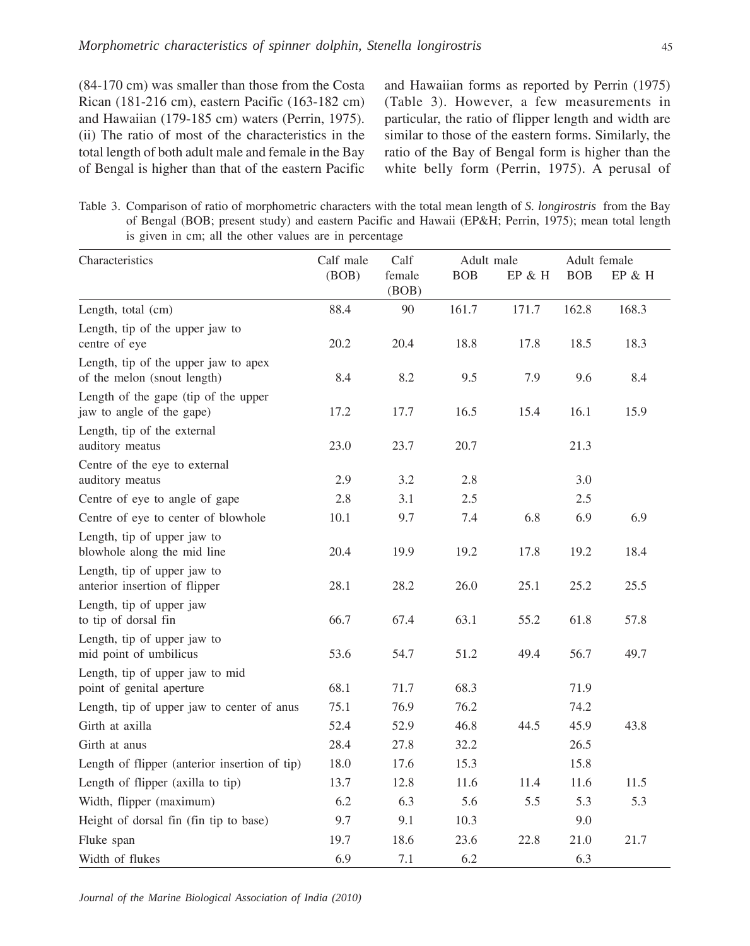(84-170 cm) was smaller than those from the Costa Rican (181-216 cm), eastern Pacific (163-182 cm) and Hawaiian (179-185 cm) waters (Perrin, 1975). (ii) The ratio of most of the characteristics in the total length of both adult male and female in the Bay of Bengal is higher than that of the eastern Pacific and Hawaiian forms as reported by Perrin (1975) (Table 3). However, a few measurements in particular, the ratio of flipper length and width are similar to those of the eastern forms. Similarly, the ratio of the Bay of Bengal form is higher than the white belly form (Perrin, 1975). A perusal of

Table 3. Comparison of ratio of morphometric characters with the total mean length of *S. longirostris* from the Bay of Bengal (BOB; present study) and eastern Pacific and Hawaii (EP&H; Perrin, 1975); mean total length is given in cm; all the other values are in percentage

| Characteristics                                                     | Calf male | Calf            |       | Adult male |            | Adult female |  |
|---------------------------------------------------------------------|-----------|-----------------|-------|------------|------------|--------------|--|
|                                                                     | (BOB)     | female<br>(BOB) | BOB   | EP & H     | <b>BOB</b> | $EP & H$     |  |
| Length, total (cm)                                                  | 88.4      | 90              | 161.7 | 171.7      | 162.8      | 168.3        |  |
| Length, tip of the upper jaw to<br>centre of eye                    | 20.2      | 20.4            | 18.8  | 17.8       | 18.5       | 18.3         |  |
| Length, tip of the upper jaw to apex<br>of the melon (snout length) | 8.4       | 8.2             | 9.5   | 7.9        | 9.6        | 8.4          |  |
| Length of the gape (tip of the upper<br>jaw to angle of the gape)   | 17.2      | 17.7            | 16.5  | 15.4       | 16.1       | 15.9         |  |
| Length, tip of the external<br>auditory meatus                      | 23.0      | 23.7            | 20.7  |            | 21.3       |              |  |
| Centre of the eye to external<br>auditory meatus                    | 2.9       | 3.2             | 2.8   |            | 3.0        |              |  |
| Centre of eye to angle of gape                                      | 2.8       | 3.1             | 2.5   |            | 2.5        |              |  |
| Centre of eye to center of blowhole                                 | 10.1      | 9.7             | 7.4   | 6.8        | 6.9        | 6.9          |  |
| Length, tip of upper jaw to<br>blowhole along the mid line          | 20.4      | 19.9            | 19.2  | 17.8       | 19.2       | 18.4         |  |
| Length, tip of upper jaw to<br>anterior insertion of flipper        | 28.1      | 28.2            | 26.0  | 25.1       | 25.2       | 25.5         |  |
| Length, tip of upper jaw<br>to tip of dorsal fin                    | 66.7      | 67.4            | 63.1  | 55.2       | 61.8       | 57.8         |  |
| Length, tip of upper jaw to<br>mid point of umbilicus               | 53.6      | 54.7            | 51.2  | 49.4       | 56.7       | 49.7         |  |
| Length, tip of upper jaw to mid<br>point of genital aperture        | 68.1      | 71.7            | 68.3  |            | 71.9       |              |  |
| Length, tip of upper jaw to center of anus                          | 75.1      | 76.9            | 76.2  |            | 74.2       |              |  |
| Girth at axilla                                                     | 52.4      | 52.9            | 46.8  | 44.5       | 45.9       | 43.8         |  |
| Girth at anus                                                       | 28.4      | 27.8            | 32.2  |            | 26.5       |              |  |
| Length of flipper (anterior insertion of tip)                       | 18.0      | 17.6            | 15.3  |            | 15.8       |              |  |
| Length of flipper (axilla to tip)                                   | 13.7      | 12.8            | 11.6  | 11.4       | 11.6       | 11.5         |  |
| Width, flipper (maximum)                                            | 6.2       | 6.3             | 5.6   | 5.5        | 5.3        | 5.3          |  |
| Height of dorsal fin (fin tip to base)                              | 9.7       | 9.1             | 10.3  |            | 9.0        |              |  |
| Fluke span                                                          | 19.7      | 18.6            | 23.6  | 22.8       | 21.0       | 21.7         |  |
| Width of flukes                                                     | 6.9       | 7.1             | 6.2   |            | 6.3        |              |  |

*Journal of the Marine Biological Association of India (2010)*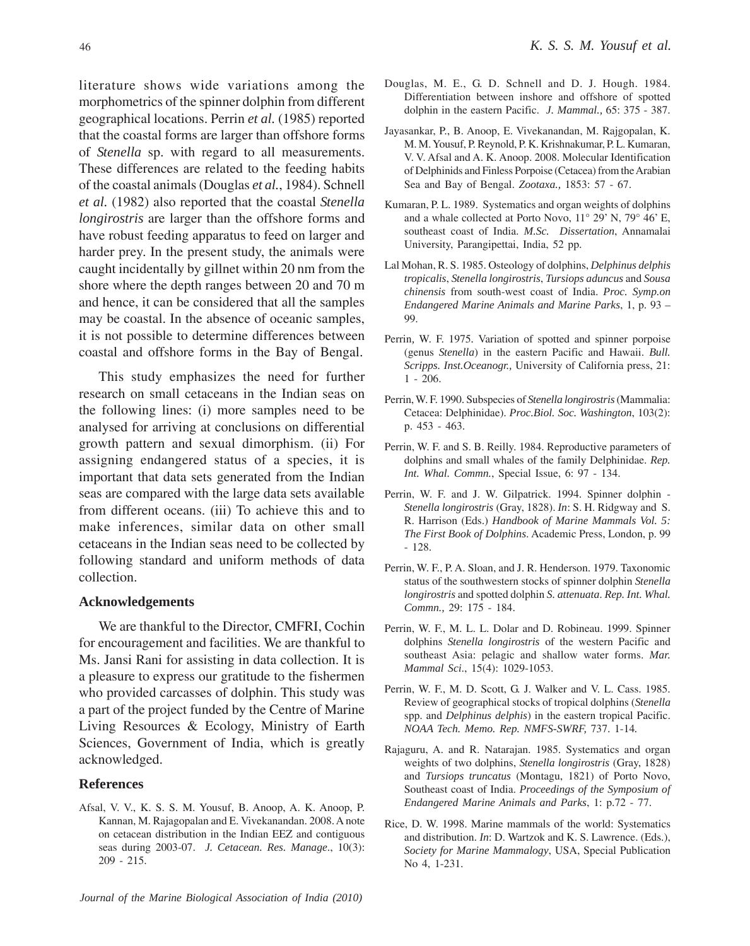literature shows wide variations among the morphometrics of the spinner dolphin from different geographical locations. Perrin *et al.* (1985) reported that the coastal forms are larger than offshore forms of *Stenella* sp. with regard to all measurements. These differences are related to the feeding habits of the coastal animals (Douglas *et al.*, 1984). Schnell *et al.* (1982) also reported that the coastal *Stenella longirostris* are larger than the offshore forms and have robust feeding apparatus to feed on larger and harder prey. In the present study, the animals were caught incidentally by gillnet within 20 nm from the shore where the depth ranges between 20 and 70 m and hence, it can be considered that all the samples may be coastal. In the absence of oceanic samples, it is not possible to determine differences between coastal and offshore forms in the Bay of Bengal.

This study emphasizes the need for further research on small cetaceans in the Indian seas on the following lines: (i) more samples need to be analysed for arriving at conclusions on differential growth pattern and sexual dimorphism. (ii) For assigning endangered status of a species, it is important that data sets generated from the Indian seas are compared with the large data sets available from different oceans. (iii) To achieve this and to make inferences, similar data on other small cetaceans in the Indian seas need to be collected by following standard and uniform methods of data collection.

#### **Acknowledgements**

We are thankful to the Director, CMFRI, Cochin for encouragement and facilities. We are thankful to Ms. Jansi Rani for assisting in data collection. It is a pleasure to express our gratitude to the fishermen who provided carcasses of dolphin. This study was a part of the project funded by the Centre of Marine Living Resources & Ecology, Ministry of Earth Sciences, Government of India, which is greatly acknowledged.

#### **References**

- Afsal, V. V., K. S. S. M. Yousuf, B. Anoop, A. K. Anoop, P. Kannan, M. Rajagopalan and E. Vivekanandan. 2008. A note on cetacean distribution in the Indian EEZ and contiguous seas during 2003-07. *J. Cetacean. Res. Manage*., 10(3): 209 - 215.
- *Journal of the Marine Biological Association of India (2010)*
- Douglas, M. E., G. D. Schnell and D. J. Hough. 1984. Differentiation between inshore and offshore of spotted dolphin in the eastern Pacific. *J. Mammal.,* 65: 375 - 387.
- Jayasankar, P., B. Anoop, E. Vivekanandan, M. Rajgopalan, K. M. M. Yousuf, P. Reynold, P. K. Krishnakumar, P. L. Kumaran, V. V. Afsal and A. K. Anoop. 2008. Molecular Identification of Delphinids and Finless Porpoise (Cetacea) from the Arabian Sea and Bay of Bengal. *Zootaxa.,* 1853: 57 - 67.
- Kumaran, P. L. 1989. Systematics and organ weights of dolphins and a whale collected at Porto Novo, 11° 29' N, 79° 46' E, southeast coast of India. *M.Sc. Dissertation*, Annamalai University, Parangipettai, India, 52 pp.
- Lal Mohan, R. S. 1985. Osteology of dolphins, *Delphinus delphis tropicalis*, *Stenella longirostris*, *Tursiops aduncus* and *Sousa chinensis* from south-west coast of India. *Proc. Symp.on Endangered Marine Animals and Marine Parks*, 1, p. 93 – 99.
- Perrin*,* W. F. 1975*.* Variation of spotted and spinner porpoise (genus *Stenella*) in the eastern Pacific and Hawaii. *Bull. Scripps. Inst.Oceanogr.,* University of California press, 21: 1 - 206.
- Perrin, W. F. 1990. Subspecies of *Stenella longirostris* (Mammalia: Cetacea: Delphinidae). *Proc.Biol. Soc. Washington*, 103(2): p. 453 - 463.
- Perrin, W. F. and S. B. Reilly. 1984. Reproductive parameters of dolphins and small whales of the family Delphinidae. *Rep. Int. Whal. Commn.*, Special Issue, 6: 97 - 134.
- Perrin, W. F. and J. W. Gilpatrick. 1994. Spinner dolphin *Stenella longirostris* (Gray, 1828). *In*: S. H. Ridgway and S. R. Harrison (Eds.) *Handbook of Marine Mammals Vol. 5: The First Book of Dolphins*. Academic Press, London, p. 99 - 128.
- Perrin, W. F., P. A. Sloan, and J. R. Henderson. 1979. Taxonomic status of the southwestern stocks of spinner dolphin *Stenella longirostris* and spotted dolphin *S. attenuata*. *Rep. Int. Whal. Commn.,* 29: 175 - 184.
- Perrin, W. F., M. L. L. Dolar and D. Robineau. 1999. Spinner dolphins *Stenella longirostris* of the western Pacific and southeast Asia: pelagic and shallow water forms. *Mar. Mammal Sci*., 15(4): 1029-1053.
- Perrin, W. F., M. D. Scott, G. J. Walker and V. L. Cass. 1985. Review of geographical stocks of tropical dolphins (*Stenella* spp. and *Delphinus delphis*) in the eastern tropical Pacific. *NOAA Tech. Memo. Rep. NMFS-SWRF,* 737. 1-14*.*
- Rajaguru, A. and R. Natarajan. 1985. Systematics and organ weights of two dolphins, *Stenella longirostris* (Gray, 1828) and *Tursiops truncatus* (Montagu, 1821) of Porto Novo, Southeast coast of India. *Proceedings of the Symposium of Endangered Marine Animals and Parks*, 1: p.72 - 77.
- Rice, D. W. 1998. Marine mammals of the world: Systematics and distribution. *In*: D. Wartzok and K. S. Lawrence. (Eds.), *Society for Marine Mammalogy*, USA, Special Publication No 4, 1-231.